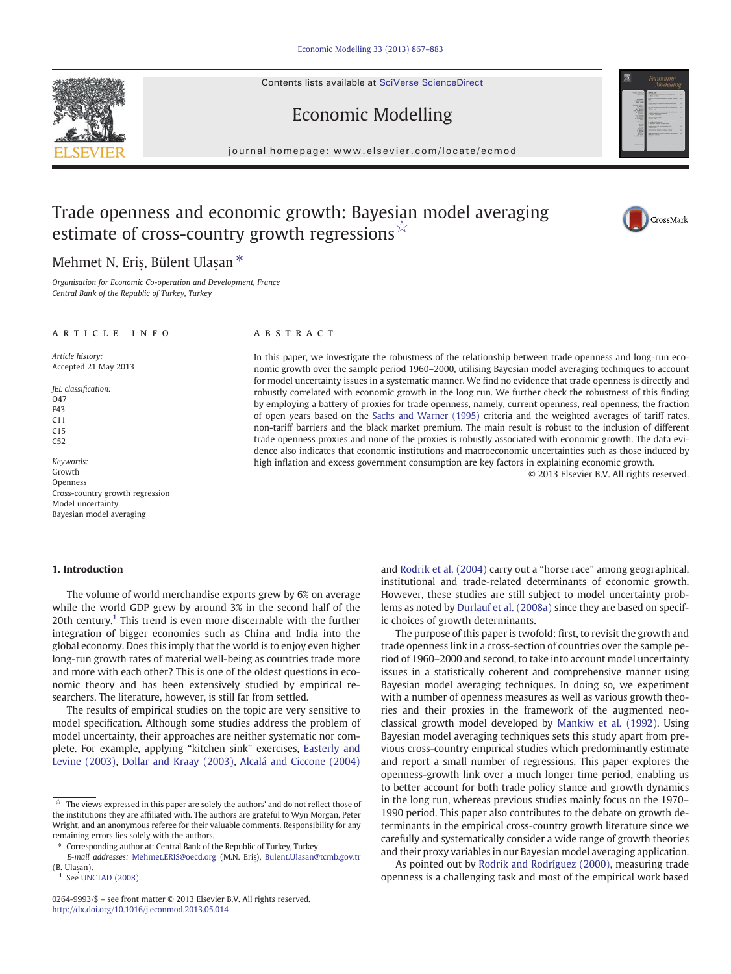Contents lists available at [SciVerse ScienceDirect](http://www.sciencedirect.com/science/journal/02649993)





## Economic Modelling

journal homepage: www.elsevier.com/locate/ecmod

## Trade openness and economic growth: Bayesian model averaging estimate of cross-country growth regressions $\vec{X}$



## Mehmet N. Eriş, Bülent Ulaşan  $*$

Organisation for Economic Co-operation and Development, France Central Bank of the Republic of Turkey, Turkey

### article info abstract

Article history: Accepted 21 May 2013

JEL classification: O47 F43  $C11$ C15 C52 Keywords: Growth Openness Cross-country growth regression Model uncertainty Bayesian model averaging

In this paper, we investigate the robustness of the relationship between trade openness and long-run economic growth over the sample period 1960–2000, utilising Bayesian model averaging techniques to account for model uncertainty issues in a systematic manner. We find no evidence that trade openness is directly and robustly correlated with economic growth in the long run. We further check the robustness of this finding by employing a battery of proxies for trade openness, namely, current openness, real openness, the fraction of open years based on the [Sachs and Warner \(1995\)](#page--1-0) criteria and the weighted averages of tariff rates, non-tariff barriers and the black market premium. The main result is robust to the inclusion of different trade openness proxies and none of the proxies is robustly associated with economic growth. The data evidence also indicates that economic institutions and macroeconomic uncertainties such as those induced by high inflation and excess government consumption are key factors in explaining economic growth.

© 2013 Elsevier B.V. All rights reserved.

### 1. Introduction

The volume of world merchandise exports grew by 6% on average while the world GDP grew by around 3% in the second half of the 20th century.<sup>1</sup> This trend is even more discernable with the further integration of bigger economies such as China and India into the global economy. Does this imply that the world is to enjoy even higher long-run growth rates of material well-being as countries trade more and more with each other? This is one of the oldest questions in economic theory and has been extensively studied by empirical researchers. The literature, however, is still far from settled.

The results of empirical studies on the topic are very sensitive to model specification. Although some studies address the problem of model uncertainty, their approaches are neither systematic nor complete. For example, applying "kitchen sink" exercises, [Easterly and](#page--1-0) [Levine \(2003\),](#page--1-0) [Dollar and Kraay \(2003\),](#page--1-0) [Alcalá and Ciccone \(2004\)](#page--1-0)

 $<sup>1</sup>$  See [UNCTAD \(2008\)](#page--1-0).</sup>

and [Rodrik et al. \(2004\)](#page--1-0) carry out a "horse race" among geographical, institutional and trade-related determinants of economic growth. However, these studies are still subject to model uncertainty problems as noted by [Durlauf et al. \(2008a\)](#page--1-0) since they are based on specific choices of growth determinants.

The purpose of this paper is twofold: first, to revisit the growth and trade openness link in a cross-section of countries over the sample period of 1960–2000 and second, to take into account model uncertainty issues in a statistically coherent and comprehensive manner using Bayesian model averaging techniques. In doing so, we experiment with a number of openness measures as well as various growth theories and their proxies in the framework of the augmented neoclassical growth model developed by [Mankiw et al. \(1992\).](#page--1-0) Using Bayesian model averaging techniques sets this study apart from previous cross-country empirical studies which predominantly estimate and report a small number of regressions. This paper explores the openness-growth link over a much longer time period, enabling us to better account for both trade policy stance and growth dynamics in the long run, whereas previous studies mainly focus on the 1970– 1990 period. This paper also contributes to the debate on growth determinants in the empirical cross-country growth literature since we carefully and systematically consider a wide range of growth theories and their proxy variables in our Bayesian model averaging application.

As pointed out by [Rodrik and Rodríguez \(2000\)](#page--1-0), measuring trade openness is a challenging task and most of the empirical work based

 $\mathring{\!\!\pi}\!\!$  The views expressed in this paper are solely the authors' and do not reflect those of the institutions they are affiliated with. The authors are grateful to Wyn Morgan, Peter Wright, and an anonymous referee for their valuable comments. Responsibility for any remaining errors lies solely with the authors.

<sup>⁎</sup> Corresponding author at: Central Bank of the Republic of Turkey, Turkey.

E-mail addresses: [Mehmet.ERIS@oecd.org](mailto:Mehmet.ERIS@oecd.org) (M.N. Eris), [Bulent.Ulasan@tcmb.gov.tr](mailto:Bulent.Ulasan@tcmb.gov.tr) (B. Ulasan).

<sup>0264-9993/\$</sup> – see front matter © 2013 Elsevier B.V. All rights reserved. <http://dx.doi.org/10.1016/j.econmod.2013.05.014>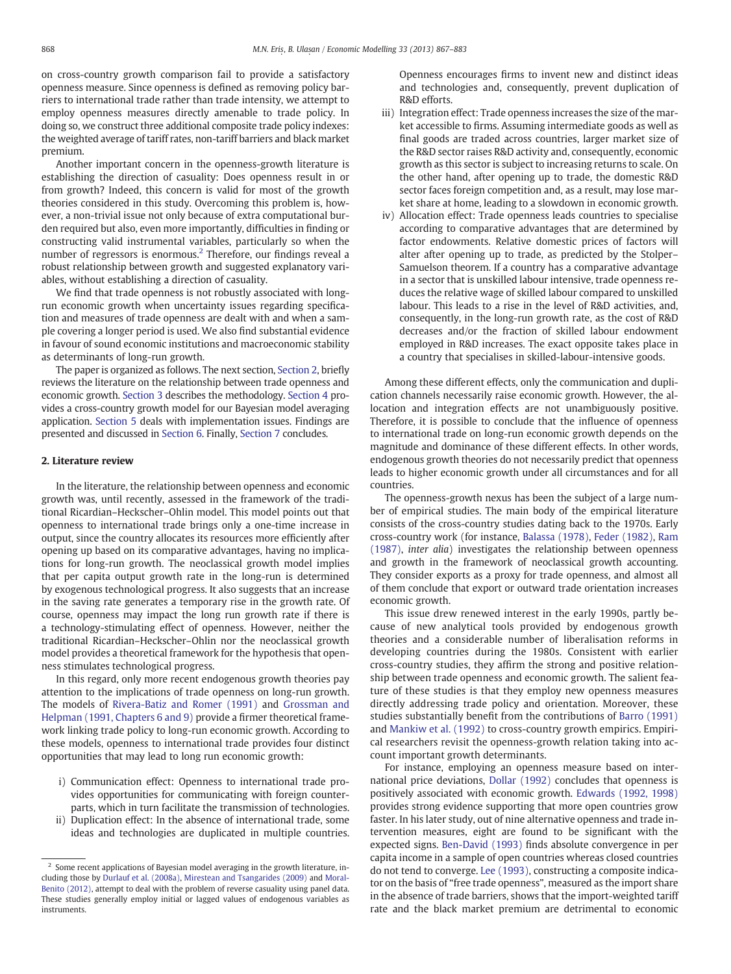on cross-country growth comparison fail to provide a satisfactory openness measure. Since openness is defined as removing policy barriers to international trade rather than trade intensity, we attempt to employ openness measures directly amenable to trade policy. In doing so, we construct three additional composite trade policy indexes: the weighted average of tariff rates, non-tariff barriers and black market premium.

Another important concern in the openness-growth literature is establishing the direction of casuality: Does openness result in or from growth? Indeed, this concern is valid for most of the growth theories considered in this study. Overcoming this problem is, however, a non-trivial issue not only because of extra computational burden required but also, even more importantly, difficulties in finding or constructing valid instrumental variables, particularly so when the number of regressors is enormous.<sup>2</sup> Therefore, our findings reveal a robust relationship between growth and suggested explanatory variables, without establishing a direction of casuality.

We find that trade openness is not robustly associated with longrun economic growth when uncertainty issues regarding specification and measures of trade openness are dealt with and when a sample covering a longer period is used. We also find substantial evidence in favour of sound economic institutions and macroeconomic stability as determinants of long-run growth.

The paper is organized as follows. The next section, Section 2, briefly reviews the literature on the relationship between trade openness and economic growth. [Section 3](#page--1-0) describes the methodology. [Section 4](#page--1-0) provides a cross-country growth model for our Bayesian model averaging application. [Section 5](#page--1-0) deals with implementation issues. Findings are presented and discussed in [Section 6](#page--1-0). Finally, [Section 7](#page--1-0) concludes.

### 2. Literature review

In the literature, the relationship between openness and economic growth was, until recently, assessed in the framework of the traditional Ricardian–Heckscher–Ohlin model. This model points out that openness to international trade brings only a one-time increase in output, since the country allocates its resources more efficiently after opening up based on its comparative advantages, having no implications for long-run growth. The neoclassical growth model implies that per capita output growth rate in the long-run is determined by exogenous technological progress. It also suggests that an increase in the saving rate generates a temporary rise in the growth rate. Of course, openness may impact the long run growth rate if there is a technology-stimulating effect of openness. However, neither the traditional Ricardian–Heckscher–Ohlin nor the neoclassical growth model provides a theoretical framework for the hypothesis that openness stimulates technological progress.

In this regard, only more recent endogenous growth theories pay attention to the implications of trade openness on long-run growth. The models of [Rivera-Batiz and Romer \(1991\)](#page--1-0) and [Grossman and](#page--1-0) [Helpman \(1991, Chapters 6 and 9\)](#page--1-0) provide a firmer theoretical framework linking trade policy to long-run economic growth. According to these models, openness to international trade provides four distinct opportunities that may lead to long run economic growth:

- i) Communication effect: Openness to international trade provides opportunities for communicating with foreign counterparts, which in turn facilitate the transmission of technologies.
- ii) Duplication effect: In the absence of international trade, some ideas and technologies are duplicated in multiple countries.

Openness encourages firms to invent new and distinct ideas and technologies and, consequently, prevent duplication of R&D efforts.

- iii) Integration effect: Trade openness increases the size of the market accessible to firms. Assuming intermediate goods as well as final goods are traded across countries, larger market size of the R&D sector raises R&D activity and, consequently, economic growth as this sector is subject to increasing returns to scale. On the other hand, after opening up to trade, the domestic R&D sector faces foreign competition and, as a result, may lose market share at home, leading to a slowdown in economic growth.
- iv) Allocation effect: Trade openness leads countries to specialise according to comparative advantages that are determined by factor endowments. Relative domestic prices of factors will alter after opening up to trade, as predicted by the Stolper– Samuelson theorem. If a country has a comparative advantage in a sector that is unskilled labour intensive, trade openness reduces the relative wage of skilled labour compared to unskilled labour. This leads to a rise in the level of R&D activities, and, consequently, in the long-run growth rate, as the cost of R&D decreases and/or the fraction of skilled labour endowment employed in R&D increases. The exact opposite takes place in a country that specialises in skilled-labour-intensive goods.

Among these different effects, only the communication and duplication channels necessarily raise economic growth. However, the allocation and integration effects are not unambiguously positive. Therefore, it is possible to conclude that the influence of openness to international trade on long-run economic growth depends on the magnitude and dominance of these different effects. In other words, endogenous growth theories do not necessarily predict that openness leads to higher economic growth under all circumstances and for all countries.

The openness-growth nexus has been the subject of a large number of empirical studies. The main body of the empirical literature consists of the cross-country studies dating back to the 1970s. Early cross-country work (for instance, [Balassa \(1978\)](#page--1-0), [Feder \(1982\)](#page--1-0), [Ram](#page--1-0) [\(1987\),](#page--1-0) inter alia) investigates the relationship between openness and growth in the framework of neoclassical growth accounting. They consider exports as a proxy for trade openness, and almost all of them conclude that export or outward trade orientation increases economic growth.

This issue drew renewed interest in the early 1990s, partly because of new analytical tools provided by endogenous growth theories and a considerable number of liberalisation reforms in developing countries during the 1980s. Consistent with earlier cross-country studies, they affirm the strong and positive relationship between trade openness and economic growth. The salient feature of these studies is that they employ new openness measures directly addressing trade policy and orientation. Moreover, these studies substantially benefit from the contributions of [Barro \(1991\)](#page--1-0) and [Mankiw et al. \(1992\)](#page--1-0) to cross-country growth empirics. Empirical researchers revisit the openness-growth relation taking into account important growth determinants.

For instance, employing an openness measure based on international price deviations, [Dollar \(1992\)](#page--1-0) concludes that openness is positively associated with economic growth. [Edwards \(1992, 1998\)](#page--1-0) provides strong evidence supporting that more open countries grow faster. In his later study, out of nine alternative openness and trade intervention measures, eight are found to be significant with the expected signs. [Ben-David \(1993\)](#page--1-0) finds absolute convergence in per capita income in a sample of open countries whereas closed countries do not tend to converge. [Lee \(1993\)](#page--1-0), constructing a composite indicator on the basis of "free trade openness", measured as the import share in the absence of trade barriers, shows that the import-weighted tariff rate and the black market premium are detrimental to economic

<sup>&</sup>lt;sup>2</sup> Some recent applications of Bayesian model averaging in the growth literature, including those by [Durlauf et al. \(2008a\),](#page--1-0) [Mirestean and Tsangarides \(2009\)](#page--1-0) and [Moral-](#page--1-0)[Benito \(2012\)](#page--1-0), attempt to deal with the problem of reverse casuality using panel data. These studies generally employ initial or lagged values of endogenous variables as instruments.